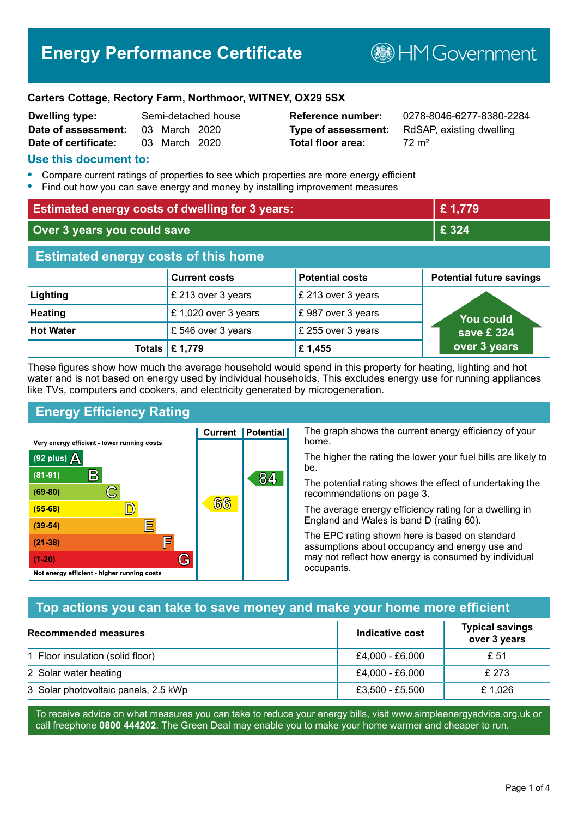# **Energy Performance Certificate**

**B**HMGovernment

#### **Carters Cottage, Rectory Farm, Northmoor, WITNEY, OX29 5SX**

| <b>Dwelling type:</b> |               | Semi-detached house |
|-----------------------|---------------|---------------------|
| Date of assessment:   | 03 March 2020 |                     |
| Date of certificate:  | 03 March 2020 |                     |

# **Total floor area:** 72 m<sup>2</sup>

**Reference number:** 0278-8046-6277-8380-2284 **Type of assessment:** RdSAP, existing dwelling

#### **Use this document to:**

- **•** Compare current ratings of properties to see which properties are more energy efficient
- **•** Find out how you can save energy and money by installing improvement measures

| <b>Estimated energy costs of dwelling for 3 years:</b> |                      |                        | £1,779                          |
|--------------------------------------------------------|----------------------|------------------------|---------------------------------|
| Over 3 years you could save                            |                      |                        | £ 324                           |
| <b>Estimated energy costs of this home</b>             |                      |                        |                                 |
|                                                        | <b>Current costs</b> | <b>Potential costs</b> | <b>Potential future savings</b> |
| Lighting                                               | £ 213 over 3 years   | £ 213 over 3 years     |                                 |
| <b>Heating</b>                                         | £ 1,020 over 3 years | £987 over 3 years      | You could                       |
| <b>Hot Water</b>                                       | £546 over 3 years    | £ 255 over 3 years     | save £ 324                      |
|                                                        | Totals   £ 1,779     | £1,455                 | over 3 years                    |

These figures show how much the average household would spend in this property for heating, lighting and hot water and is not based on energy used by individual households. This excludes energy use for running appliances like TVs, computers and cookers, and electricity generated by microgeneration.

**Current | Potential** 

 $(6)$ ගි

## **Energy Efficiency Rating**

 $\mathbb{C}$ 

 $\mathbb{D}$ 

E

F

G

Very energy efficient - lower running costs

 $\mathsf{R}% _{T}$ 

Not energy efficient - higher running costs

 $(92$  plus)

 $(81 - 91)$ 

 $(69 - 80)$ 

 $(55-68)$ 

 $(39 - 54)$  $(21-38)$ 

 $(1-20)$ 

A

The graph shows the current energy efficiency of your home.

The higher the rating the lower your fuel bills are likely to be.

The potential rating shows the effect of undertaking the recommendations on page 3.

The average energy efficiency rating for a dwelling in England and Wales is band D (rating 60).

The EPC rating shown here is based on standard assumptions about occupancy and energy use and may not reflect how energy is consumed by individual occupants.

#### **Top actions you can take to save money and make your home more efficient**

84

| Recommended measures                 | Indicative cost | <b>Typical savings</b><br>over 3 years |
|--------------------------------------|-----------------|----------------------------------------|
| 1 Floor insulation (solid floor)     | £4,000 - £6,000 | £ 51                                   |
| 2 Solar water heating                | £4,000 - £6,000 | £ 273                                  |
| 3 Solar photovoltaic panels, 2.5 kWp | £3,500 - £5,500 | £1.026                                 |

To receive advice on what measures you can take to reduce your energy bills, visit www.simpleenergyadvice.org.uk or call freephone **0800 444202**. The Green Deal may enable you to make your home warmer and cheaper to run.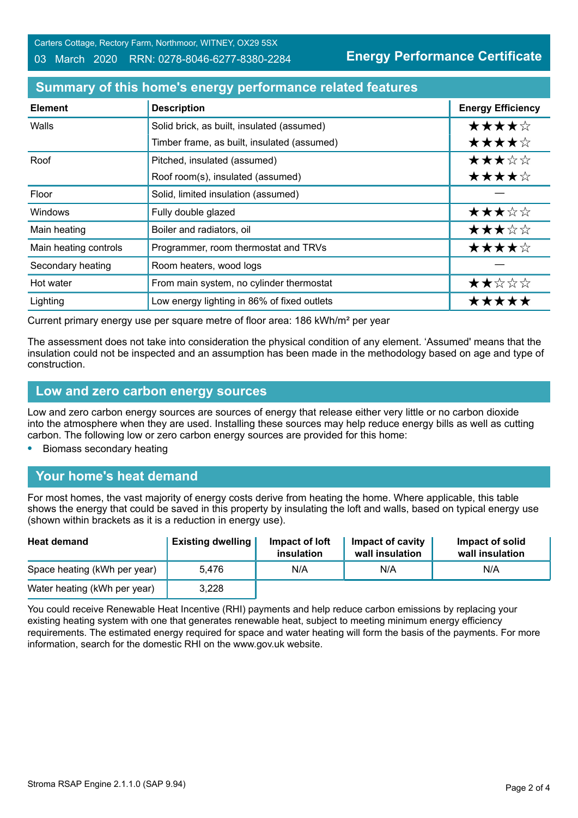Carters Cottage, Rectory Farm, Northmoor, WITNEY, OX29 5SX 03 March 2020 RRN: 0278-8046-6277-8380-2284

**Energy Performance Certificate**

#### **Summary of this home's energy performance related features**

| <b>Element</b>        | <b>Description</b>                          | <b>Energy Efficiency</b> |
|-----------------------|---------------------------------------------|--------------------------|
| Walls                 | Solid brick, as built, insulated (assumed)  | ★★★★☆                    |
|                       | Timber frame, as built, insulated (assumed) | ★★★★☆                    |
| Roof                  | Pitched, insulated (assumed)                | ★★★☆☆                    |
|                       | Roof room(s), insulated (assumed)           | ★★★★☆                    |
| Floor                 | Solid, limited insulation (assumed)         |                          |
| Windows               | Fully double glazed                         | ★★★☆☆                    |
| Main heating          | Boiler and radiators, oil                   | ★★★☆☆                    |
| Main heating controls | Programmer, room thermostat and TRVs        | ★★★★☆                    |
| Secondary heating     | Room heaters, wood logs                     |                          |
| Hot water             | From main system, no cylinder thermostat    | ★★☆☆☆                    |
| Lighting              | Low energy lighting in 86% of fixed outlets | *****                    |

Current primary energy use per square metre of floor area: 186 kWh/m² per year

The assessment does not take into consideration the physical condition of any element. 'Assumed' means that the insulation could not be inspected and an assumption has been made in the methodology based on age and type of construction.

#### **Low and zero carbon energy sources**

Low and zero carbon energy sources are sources of energy that release either very little or no carbon dioxide into the atmosphere when they are used. Installing these sources may help reduce energy bills as well as cutting carbon. The following low or zero carbon energy sources are provided for this home:

**•** Biomass secondary heating

#### **Your home's heat demand**

For most homes, the vast majority of energy costs derive from heating the home. Where applicable, this table shows the energy that could be saved in this property by insulating the loft and walls, based on typical energy use (shown within brackets as it is a reduction in energy use).

| <b>Heat demand</b>           | <b>Existing dwelling</b> | Impact of loft<br>insulation | <b>Impact of cavity</b><br>wall insulation | Impact of solid<br>wall insulation |
|------------------------------|--------------------------|------------------------------|--------------------------------------------|------------------------------------|
| Space heating (kWh per year) | 5.476                    | N/A                          | N/A                                        | N/A                                |
| Water heating (kWh per year) | 3,228                    |                              |                                            |                                    |

You could receive Renewable Heat Incentive (RHI) payments and help reduce carbon emissions by replacing your existing heating system with one that generates renewable heat, subject to meeting minimum energy efficiency requirements. The estimated energy required for space and water heating will form the basis of the payments. For more information, search for the domestic RHI on the www.gov.uk website.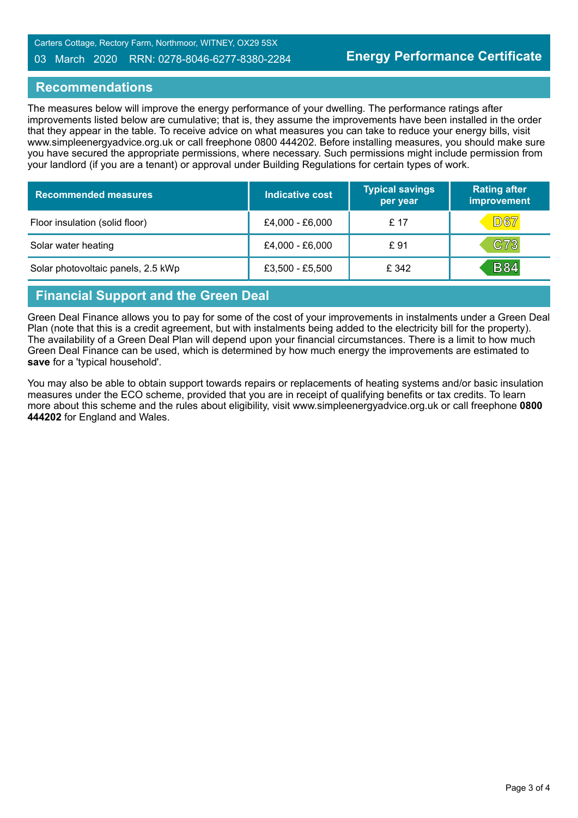#### 03 March 2020 RRN: 0278-8046-6277-8380-2284

#### **Recommendations**

The measures below will improve the energy performance of your dwelling. The performance ratings after improvements listed below are cumulative; that is, they assume the improvements have been installed in the order that they appear in the table. To receive advice on what measures you can take to reduce your energy bills, visit www.simpleenergyadvice.org.uk or call freephone 0800 444202. Before installing measures, you should make sure you have secured the appropriate permissions, where necessary. Such permissions might include permission from your landlord (if you are a tenant) or approval under Building Regulations for certain types of work.

| <b>Recommended measures</b>        | <b>Indicative cost</b> | <b>Typical savings</b><br>per year | <b>Rating after</b><br>improvement |
|------------------------------------|------------------------|------------------------------------|------------------------------------|
| Floor insulation (solid floor)     | £4,000 - £6,000        | £ 17                               | <b>D67</b>                         |
| Solar water heating                | £4,000 - £6,000        | £ 91                               | C73                                |
| Solar photovoltaic panels, 2.5 kWp | £3,500 - £5,500        | £ 342                              | <b>B84</b>                         |

# **Financial Support and the Green Deal**

Green Deal Finance allows you to pay for some of the cost of your improvements in instalments under a Green Deal Plan (note that this is a credit agreement, but with instalments being added to the electricity bill for the property). The availability of a Green Deal Plan will depend upon your financial circumstances. There is a limit to how much Green Deal Finance can be used, which is determined by how much energy the improvements are estimated to **save** for a 'typical household'.

You may also be able to obtain support towards repairs or replacements of heating systems and/or basic insulation measures under the ECO scheme, provided that you are in receipt of qualifying benefits or tax credits. To learn more about this scheme and the rules about eligibility, visit www.simpleenergyadvice.org.uk or call freephone **0800 444202** for England and Wales.